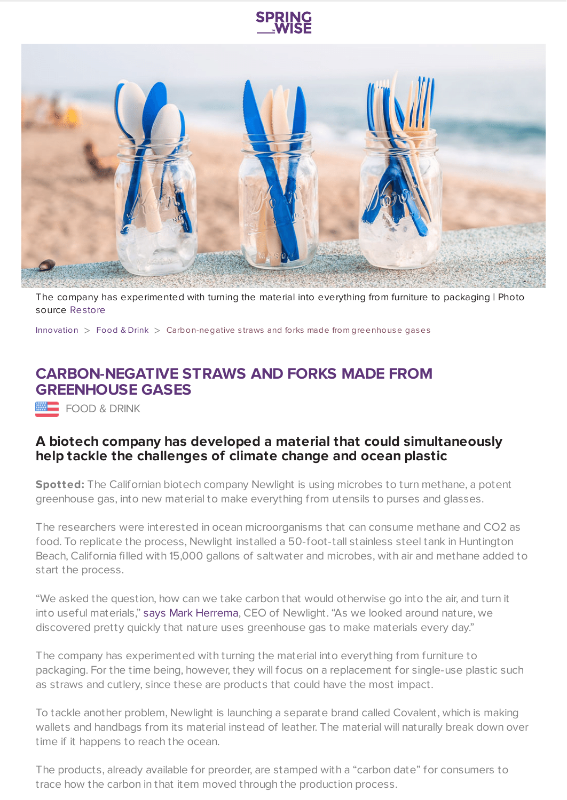



The company has experimented with turning the material into everything from furniture to packaging | Photo source [Restore](https://www.restorefoodware.com/)

[Innovation](https://www.springwise.com/search?type=innovation)  $>$  [Food](https://www.springwise.com/search?type=innovation§or=food-and-drink) & Drink  $>$  Carbon-negative straws and forks made from greenhouse gases

## **CARBON-NEGATIVE STRAWS AND FORKS MADE FROM GREENHOUSE GASES**

FOOD & DRINK

## **A biotech company has developed a material that could simultaneously help tackle the challenges of climate change and ocean plastic**

**Spotted:** The Californian biotech company Newlight is using microbes to turn methane, a potent greenhouse gas, into new material to make everything from utensils to purses and glasses.

The researchers were interested in ocean microorganisms that can consume methane and CO2 as food. To replicate the process, Newlight installed a 50-foot-tall stainless steel tank in Huntington Beach, California filled with 15,000 gallons of saltwater and microbes, with air and methane added to start the process.

"We asked the question, how can we take carbon that would otherwise go into the air, and turn it into useful materials," says Mark [Herrema,](https://www.fastcompany.com/90551498/these-carbon-negative-ocean-degradable-straws-and-forks-are-made-from-greenhouse-gasses?partner=feedburner&utm_source=feedburner&utm_medium=feed&utm_campaign=feedburner+fastcompany&utm_content=feedburner&cid=eem524:524:s00:09/24/2020_fc&utm_source=newsletter&utm_medium=Compass&utm_campaign=eem524:524:s00:09/24/2020_fc) CEO of Newlight. "As we looked around nature, we discovered pretty quickly that nature uses greenhouse gas to make materials every day."

The company has experimented with turning the material into everything from furniture to packaging. For the time being, however, they will focus on a replacement for single-use plastic such as straws and cutlery, since these are products that could have the most impact.

To tackle another problem, Newlight is launching a separate brand called Covalent, which is making wallets and handbags from its material instead of leather. The material will naturally break down over time if it happens to reach the ocean.

The products, already available for preorder, are stamped with a "carbon date" for consumers to trace how the carbon in that item moved through the production process.